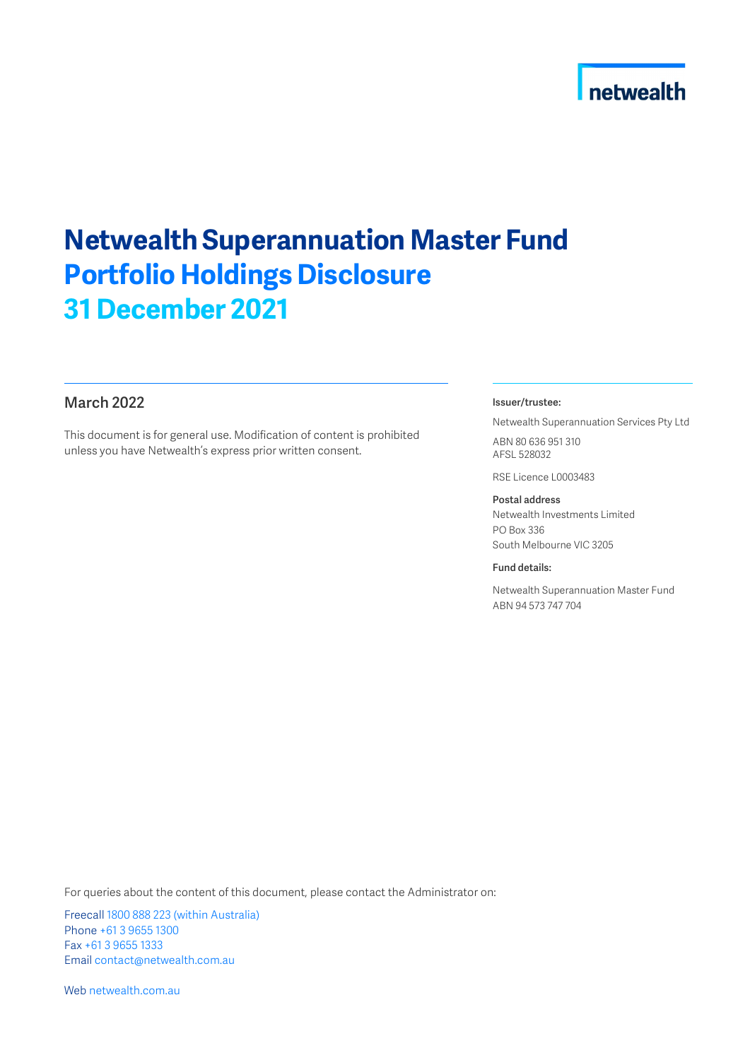# netwealth

# Netwealth Superannuation Master Fund Portfolio Holdings Disclosure 31 December 2021

### March 2022

This document is for general use. Modification of content is prohibited unless you have Netwealth's express prior written consent.

#### Issuer/trustee:

Netwealth Superannuation Services Pty Ltd ABN 80 636 951 310 AFSL 528032

RSE Licence L0003483

Postal address Netwealth Investments Limited PO Box 336 South Melbourne VIC 3205

#### Fund details:

Netwealth Superannuation Master Fund ABN 94 573 747 704

For queries about the content of this document, please contact the Administrator on:

Freecall 1800 888 223 (within Australia) Phone +61 3 9655 1300 Fax +61 3 9655 1333 Email contact@netwealth.com.au

Web netwealth.com.au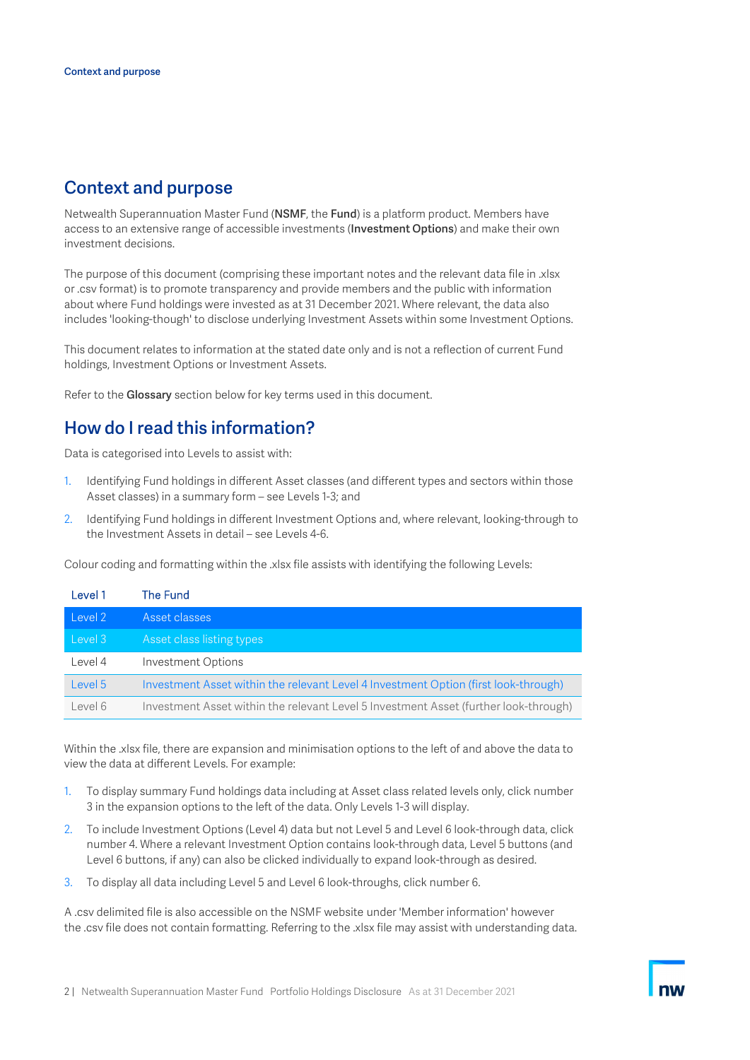### Context and purpose

Netwealth Superannuation Master Fund (NSMF, the Fund) is a platform product. Members have access to an extensive range of accessible investments (Investment Options) and make their own investment decisions.

The purpose of this document (comprising these important notes and the relevant data file in .xlsx or .csv format) is to promote transparency and provide members and the public with information about where Fund holdings were invested as at 31 December 2021. Where relevant, the data also includes 'looking-though' to disclose underlying Investment Assets within some Investment Options.

This document relates to information at the stated date only and is not a reflection of current Fund holdings, Investment Options or Investment Assets.

Refer to the Glossary section below for key terms used in this document.

### How do I read this information?

Data is categorised into Levels to assist with:

- 1. Identifying Fund holdings in different Asset classes (and different types and sectors within those Asset classes) in a summary form – see Levels 1-3; and
- 2. Identifying Fund holdings in different Investment Options and, where relevant, looking-through to the Investment Assets in detail – see Levels 4-6.

Colour coding and formatting within the .xlsx file assists with identifying the following Levels:

| Level 1 | <b>The Fund</b>                                                                      |
|---------|--------------------------------------------------------------------------------------|
| Level 2 | Asset classes                                                                        |
| Level 3 | Asset class listing types                                                            |
| Level 4 | <b>Investment Options</b>                                                            |
| Level 5 | Investment Asset within the relevant Level 4 Investment Option (first look-through)  |
| Level 6 | Investment Asset within the relevant Level 5 Investment Asset (further look-through) |

Within the .xlsx file, there are expansion and minimisation options to the left of and above the data to view the data at different Levels. For example:

- 1. To display summary Fund holdings data including at Asset class related levels only, click number 3 in the expansion options to the left of the data. Only Levels 1-3 will display.
- 2. To include Investment Options (Level 4) data but not Level 5 and Level 6 look-through data, click number 4. Where a relevant Investment Option contains look-through data, Level 5 buttons (and Level 6 buttons, if any) can also be clicked individually to expand look-through as desired.
- 3. To display all data including Level 5 and Level 6 look-throughs, click number 6.

A .csv delimited file is also accessible on the NSMF website under 'Member information' however the .csv file does not contain formatting. Referring to the .xlsx file may assist with understanding data.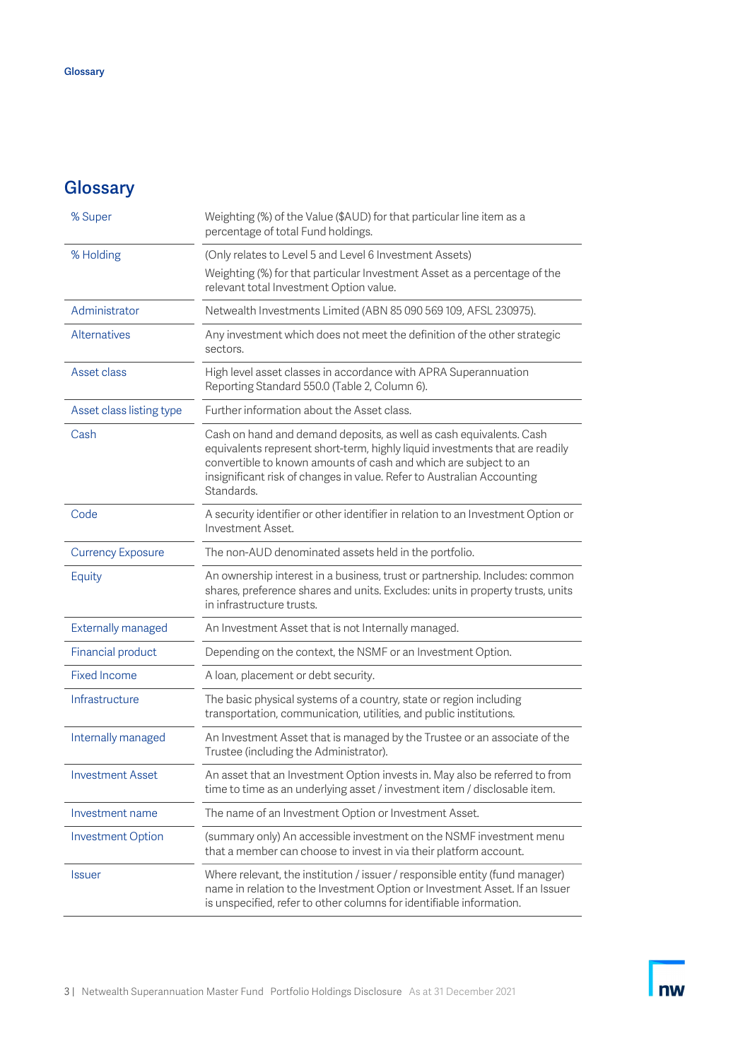## **Glossary**

| % Super                   | Weighting (%) of the Value (\$AUD) for that particular line item as a<br>percentage of total Fund holdings.                                                                                                                                                                                                     |
|---------------------------|-----------------------------------------------------------------------------------------------------------------------------------------------------------------------------------------------------------------------------------------------------------------------------------------------------------------|
| % Holding                 | (Only relates to Level 5 and Level 6 Investment Assets)                                                                                                                                                                                                                                                         |
|                           | Weighting (%) for that particular Investment Asset as a percentage of the<br>relevant total Investment Option value.                                                                                                                                                                                            |
| Administrator             | Netwealth Investments Limited (ABN 85 090 569 109, AFSL 230975).                                                                                                                                                                                                                                                |
| Alternatives              | Any investment which does not meet the definition of the other strategic<br>sectors.                                                                                                                                                                                                                            |
| Asset class               | High level asset classes in accordance with APRA Superannuation<br>Reporting Standard 550.0 (Table 2, Column 6).                                                                                                                                                                                                |
| Asset class listing type  | Further information about the Asset class.                                                                                                                                                                                                                                                                      |
| Cash                      | Cash on hand and demand deposits, as well as cash equivalents. Cash<br>equivalents represent short-term, highly liquid investments that are readily<br>convertible to known amounts of cash and which are subject to an<br>insignificant risk of changes in value. Refer to Australian Accounting<br>Standards. |
| Code                      | A security identifier or other identifier in relation to an Investment Option or<br>Investment Asset.                                                                                                                                                                                                           |
| <b>Currency Exposure</b>  | The non-AUD denominated assets held in the portfolio.                                                                                                                                                                                                                                                           |
| Equity                    | An ownership interest in a business, trust or partnership. Includes: common<br>shares, preference shares and units. Excludes: units in property trusts, units<br>in infrastructure trusts.                                                                                                                      |
| <b>Externally managed</b> | An Investment Asset that is not Internally managed.                                                                                                                                                                                                                                                             |
| <b>Financial product</b>  | Depending on the context, the NSMF or an Investment Option.                                                                                                                                                                                                                                                     |
| <b>Fixed Income</b>       | A loan, placement or debt security.                                                                                                                                                                                                                                                                             |
| Infrastructure            | The basic physical systems of a country, state or region including<br>transportation, communication, utilities, and public institutions.                                                                                                                                                                        |
| Internally managed        | An Investment Asset that is managed by the Trustee or an associate of the<br>Trustee (including the Administrator).                                                                                                                                                                                             |
| <b>Investment Asset</b>   | An asset that an Investment Option invests in. May also be referred to from<br>time to time as an underlying asset / investment item / disclosable item.                                                                                                                                                        |
| Investment name           | The name of an Investment Option or Investment Asset.                                                                                                                                                                                                                                                           |
| <b>Investment Option</b>  | (summary only) An accessible investment on the NSMF investment menu<br>that a member can choose to invest in via their platform account.                                                                                                                                                                        |
| <b>Issuer</b>             | Where relevant, the institution / issuer / responsible entity (fund manager)<br>name in relation to the Investment Option or Investment Asset. If an Issuer<br>is unspecified, refer to other columns for identifiable information.                                                                             |